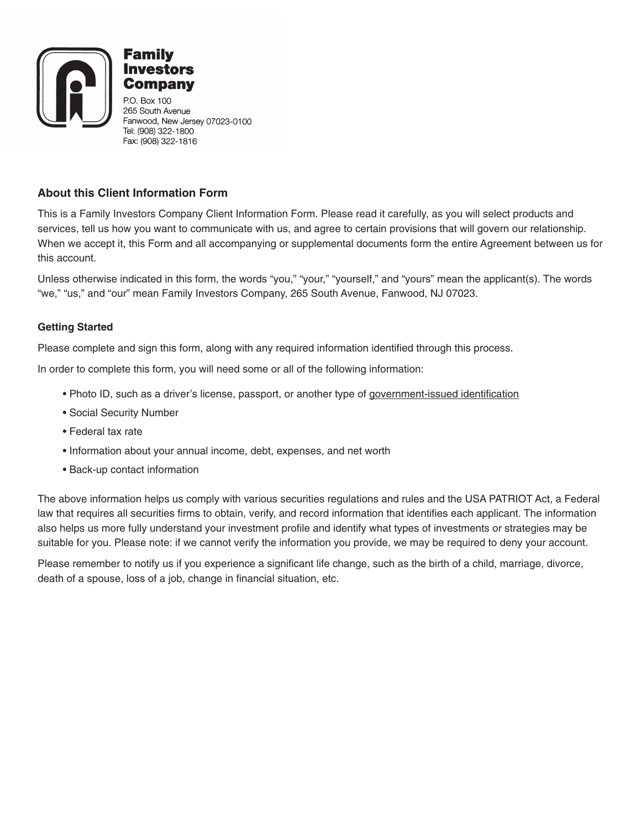

Con

P.O. Box 100 265 South Avenue Fanwood, New Jersey 07023-0100 Tel: (908) 322-1800 Fax: (908) 322-1816

### **About this Client Information Form**

This is a Family Investors Company Client Information Form. Please read it carefully, as you will select products and services, tell us how you want to communicate with us, and agree to certain provisions that will govern our relationship. When we accept it, this Form and all accompanying or supplemental documents form the entire Agreement between us for this account.

Unless otherwise indicated in this form, the words "you," "your," "yourself," and "yours" mean the applicant(s). The words "we," "us," and "our" mean Family Investors Company, 265 South Avenue, Fanwood, NJ 07023.

### **Getting Started**

Please complete and sign this form, along with any required information identified through this process.

In order to complete this form, you will need some or all of the following information:

- Photo ID, such as a driver's license, passport, or another type of government-issued identification
- Social Security Number
- Federal tax rate
- Information about your annual income, debt, expenses, and net worth
- Back-up contact information

The above information helps us comply with various securities regulations and rules and the USA PATRIOT Act, a Federal law that requires all securities firms to obtain, verify, and record information that identifies each applicant. The information also helps us more fully understand your investment profile and identify what types of investments or strategies may be suitable for you. Please note: if we cannot verify the information you provide, we may be required to deny your account.

Please remember to notify us if you experience a significant life change, such as the birth of a child, marriage, divorce, death of a spouse, loss of a job, change in financial situation, etc.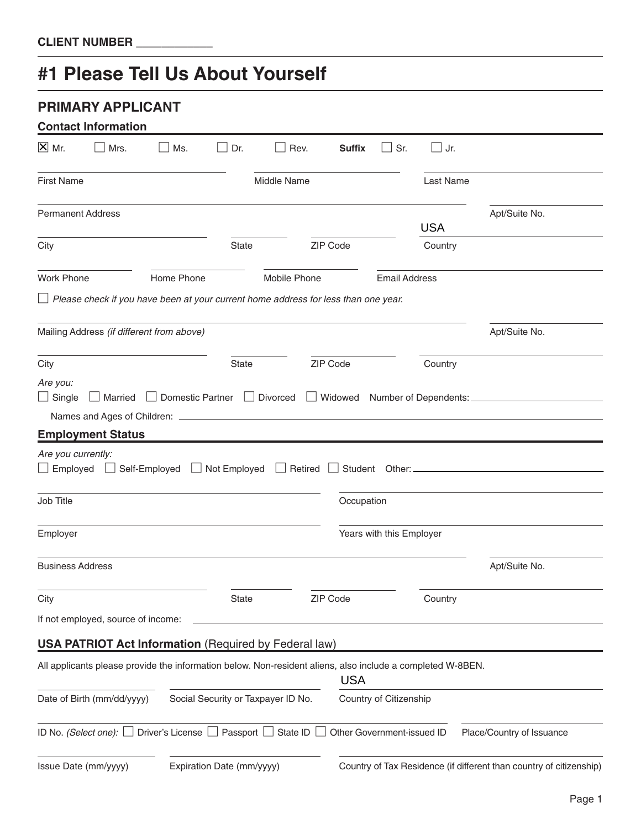# **#1 Please Tell Us About Yourself**

|                                       | <b>PRIMARY APPLICANT</b><br><b>Contact Information</b> |                                                                                                            |                           |                                    |               |                            |            |                                                                     |
|---------------------------------------|--------------------------------------------------------|------------------------------------------------------------------------------------------------------------|---------------------------|------------------------------------|---------------|----------------------------|------------|---------------------------------------------------------------------|
| $X$ Mr.                               | Mrs.                                                   | Ms.                                                                                                        | Dr.                       | Rev.                               | <b>Suffix</b> | $\Box$ Sr.                 | $\Box$ Jr. |                                                                     |
| <b>First Name</b>                     |                                                        |                                                                                                            |                           | Middle Name                        |               |                            | Last Name  |                                                                     |
|                                       | <b>Permanent Address</b>                               |                                                                                                            |                           |                                    |               |                            | <b>USA</b> | Apt/Suite No.                                                       |
| City                                  |                                                        |                                                                                                            | <b>State</b>              |                                    | ZIP Code      |                            | Country    |                                                                     |
| <b>Work Phone</b>                     |                                                        | Home Phone                                                                                                 |                           | Mobile Phone                       |               | <b>Email Address</b>       |            |                                                                     |
|                                       |                                                        | $\Box$ Please check if you have been at your current home address for less than one year.                  |                           |                                    |               |                            |            |                                                                     |
|                                       |                                                        | Mailing Address (if different from above)                                                                  |                           |                                    |               |                            |            | Apt/Suite No.                                                       |
| City                                  |                                                        |                                                                                                            | <b>State</b>              |                                    | ZIP Code      |                            | Country    |                                                                     |
| Are you:<br>$\Box$ Single             | Married                                                | $\Box$ Domestic Partner $\Box$ Divorced                                                                    |                           |                                    |               |                            |            |                                                                     |
|                                       |                                                        |                                                                                                            |                           |                                    |               |                            |            |                                                                     |
|                                       | <b>Employment Status</b>                               |                                                                                                            |                           |                                    |               |                            |            |                                                                     |
| Are you currently:<br>$\Box$ Employed |                                                        | Self-Employed □ Not Employed □ Retired                                                                     |                           |                                    |               |                            |            |                                                                     |
| Job Title                             |                                                        |                                                                                                            |                           |                                    | Occupation    |                            |            |                                                                     |
| Employer                              |                                                        |                                                                                                            |                           |                                    |               | Years with this Employer   |            |                                                                     |
| <b>Business Address</b>               |                                                        |                                                                                                            |                           |                                    |               |                            |            | Apt/Suite No.                                                       |
| City                                  |                                                        |                                                                                                            | State                     |                                    | ZIP Code      |                            | Country    |                                                                     |
|                                       | If not employed, source of income:                     |                                                                                                            |                           |                                    |               |                            |            |                                                                     |
|                                       |                                                        | <b>USA PATRIOT Act Information</b> (Required by Federal law)                                               |                           |                                    |               |                            |            |                                                                     |
|                                       |                                                        | All applicants please provide the information below. Non-resident aliens, also include a completed W-8BEN. |                           |                                    | <b>USA</b>    |                            |            |                                                                     |
|                                       | Date of Birth (mm/dd/yyyy)                             |                                                                                                            |                           | Social Security or Taxpayer ID No. |               | Country of Citizenship     |            |                                                                     |
|                                       |                                                        | ID No. (Select one): Driver's License D Passport State ID D                                                |                           |                                    |               | Other Government-issued ID |            | Place/Country of Issuance                                           |
|                                       | Issue Date (mm/yyyy)                                   |                                                                                                            | Expiration Date (mm/yyyy) |                                    |               |                            |            | Country of Tax Residence (if different than country of citizenship) |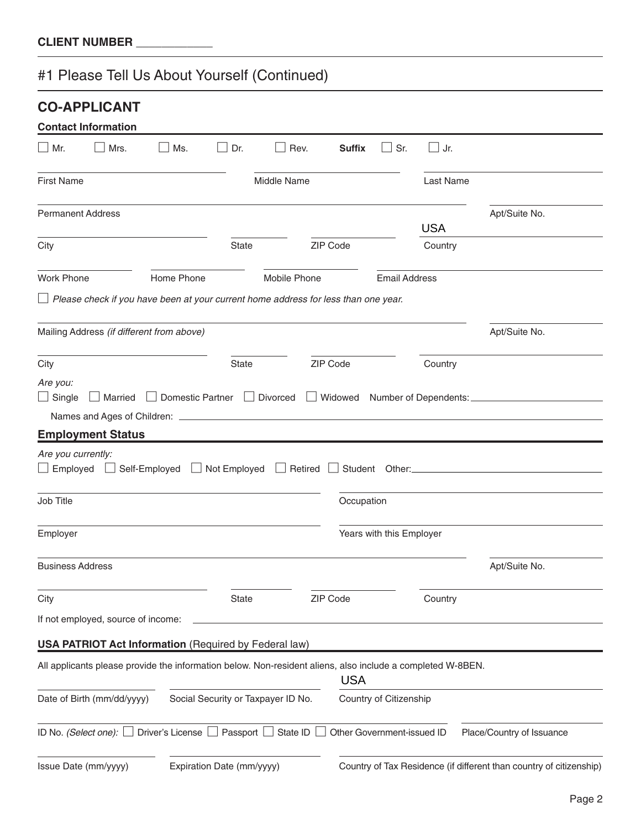#1 Please Tell Us About Yourself (Continued)

|                                                 | <b>CO-APPLICANT</b>                                                                                        |            |                           |                                    |                |                            |            |                                                                         |
|-------------------------------------------------|------------------------------------------------------------------------------------------------------------|------------|---------------------------|------------------------------------|----------------|----------------------------|------------|-------------------------------------------------------------------------|
|                                                 | <b>Contact Information</b>                                                                                 |            |                           |                                    |                |                            |            |                                                                         |
| $\Box$ Mr.                                      | Mrs.                                                                                                       | Ms.        | Dr.                       | Rev.                               | <b>Suffix</b>  | Sr.                        | $\Box$ Jr. |                                                                         |
| <b>First Name</b>                               |                                                                                                            |            |                           | Middle Name                        |                |                            | Last Name  |                                                                         |
|                                                 | <b>Permanent Address</b>                                                                                   |            |                           |                                    |                |                            |            | Apt/Suite No.                                                           |
|                                                 |                                                                                                            |            |                           |                                    |                |                            | <b>USA</b> |                                                                         |
| City                                            |                                                                                                            |            | <b>State</b>              |                                    | ZIP Code       |                            | Country    |                                                                         |
| <b>Work Phone</b>                               |                                                                                                            | Home Phone |                           | Mobile Phone                       |                | <b>Email Address</b>       |            |                                                                         |
|                                                 | $\perp$ Please check if you have been at your current home address for less than one year.                 |            |                           |                                    |                |                            |            |                                                                         |
|                                                 | Mailing Address (if different from above)                                                                  |            |                           |                                    |                |                            |            | Apt/Suite No.                                                           |
| City                                            |                                                                                                            |            | <b>State</b>              |                                    | ZIP Code       |                            | Country    |                                                                         |
| Are you:<br>$\Box$ Single<br>Are you currently: | <b>Employment Status</b><br>□ Employed □ Self-Employed □ Not Employed □ Retired                            |            |                           |                                    |                |                            |            | □ Married □ Domestic Partner □ Divorced □ Widowed Number of Dependents: |
|                                                 |                                                                                                            |            |                           |                                    | $\blacksquare$ |                            |            |                                                                         |
| Job Title                                       |                                                                                                            |            |                           |                                    | Occupation     |                            |            |                                                                         |
| Employer                                        |                                                                                                            |            |                           |                                    |                | Years with this Employer   |            |                                                                         |
| <b>Business Address</b>                         |                                                                                                            |            |                           |                                    |                |                            |            | Apt/Suite No.                                                           |
| City                                            |                                                                                                            |            | State                     |                                    | ZIP Code       |                            | Country    |                                                                         |
|                                                 | If not employed, source of income:                                                                         |            |                           |                                    |                |                            |            |                                                                         |
|                                                 | <b>USA PATRIOT Act Information (Required by Federal law)</b>                                               |            |                           |                                    |                |                            |            |                                                                         |
|                                                 | All applicants please provide the information below. Non-resident aliens, also include a completed W-8BEN. |            |                           |                                    | <b>USA</b>     |                            |            |                                                                         |
|                                                 | Date of Birth (mm/dd/yyyy)                                                                                 |            |                           | Social Security or Taxpayer ID No. |                | Country of Citizenship     |            |                                                                         |
|                                                 | ID No. (Select one): $\Box$ Driver's License $\Box$ Passport $\Box$ State ID                               |            |                           |                                    |                | Other Government-issued ID |            | Place/Country of Issuance                                               |
|                                                 | Issue Date (mm/yyyy)                                                                                       |            | Expiration Date (mm/yyyy) |                                    |                |                            |            | Country of Tax Residence (if different than country of citizenship)     |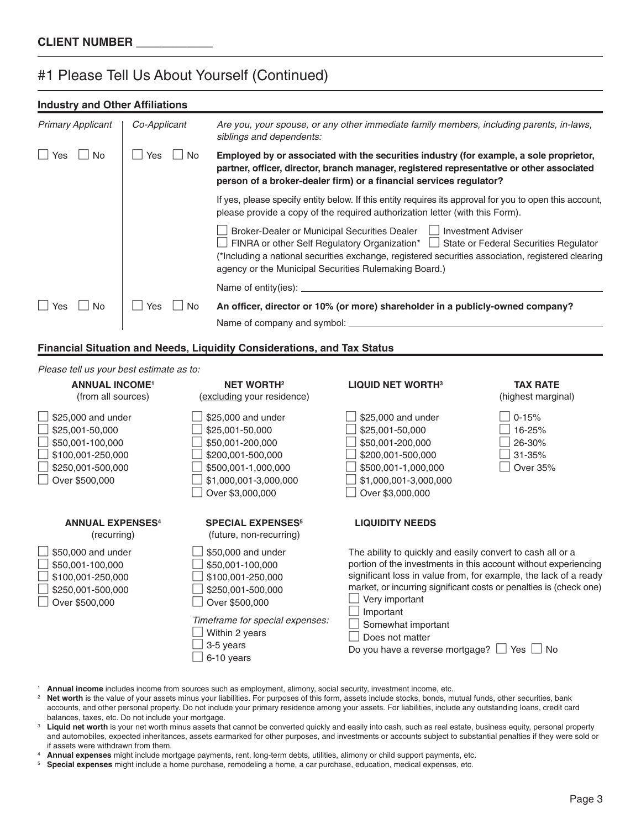### #1 Please Tell Us About Yourself (Continued)

### **Industry and Other Affiliations**

| <b>Primary Applicant</b> | Co-Applicant      | Are you, your spouse, or any other immediate family members, including parents, in-laws,<br>siblings and dependents:                                                                                                                                                                                                       |
|--------------------------|-------------------|----------------------------------------------------------------------------------------------------------------------------------------------------------------------------------------------------------------------------------------------------------------------------------------------------------------------------|
| l Yes<br>No.             | No.<br><b>Yes</b> | Employed by or associated with the securities industry (for example, a sole proprietor,<br>partner, officer, director, branch manager, registered representative or other associated<br>person of a broker-dealer firm) or a financial services regulator?                                                                 |
|                          |                   | If yes, please specify entity below. If this entity requires its approval for you to open this account,<br>please provide a copy of the required authorization letter (with this Form).                                                                                                                                    |
|                          |                   | Broker-Dealer or Municipal Securities Dealer     Investment Adviser<br>FINRA or other Self Regulatory Organization*   State or Federal Securities Regulator<br>(*Including a national securities exchange, registered securities association, registered clearing<br>agency or the Municipal Securities Rulemaking Board.) |
|                          |                   |                                                                                                                                                                                                                                                                                                                            |
| $\Box$ Yes<br>No.        | No.<br>Yes        | An officer, director or 10% (or more) shareholder in a publicly-owned company?<br>Name of company and symbol: _                                                                                                                                                                                                            |

### **Financial Situation and Needs, Liquidity Considerations, and Tax Status**

### *Please tell us your best estimate as to:*

| <b>ANNUAL INCOME<sup>1</sup></b><br>(from all sources)                                                                | <b>NET WORTH2</b><br>(excluding your residence)                                                                                                                                    | <b>LIQUID NET WORTH3</b>                                                                                                                                                                                                                                                                                                                                                                  | <b>TAX RATE</b><br>(highest marginal)               |
|-----------------------------------------------------------------------------------------------------------------------|------------------------------------------------------------------------------------------------------------------------------------------------------------------------------------|-------------------------------------------------------------------------------------------------------------------------------------------------------------------------------------------------------------------------------------------------------------------------------------------------------------------------------------------------------------------------------------------|-----------------------------------------------------|
| \$25,000 and under<br>\$25,001-50,000<br>\$50,001-100,000<br>\$100,001-250,000<br>\$250,001-500,000<br>Over \$500,000 | \$25,000 and under<br>\$25,001-50,000<br>\$50,001-200,000<br>\$200,001-500,000<br>\$500,001-1,000,000<br>\$1,000,001-3,000,000<br>Over \$3,000,000                                 | \$25,000 and under<br>\$25,001-50,000<br>\$50,001-200,000<br>\$200,001-500,000<br>\$500,001-1,000,000<br>\$1,000,001-3,000,000<br>Over \$3,000,000                                                                                                                                                                                                                                        | $0 - 15%$<br>16-25%<br>26-30%<br>31-35%<br>Over 35% |
| <b>ANNUAL EXPENSES4</b><br>(recurring)                                                                                | <b>SPECIAL EXPENSES<sup>5</sup></b><br>(future, non-recurring)                                                                                                                     | <b>LIQUIDITY NEEDS</b>                                                                                                                                                                                                                                                                                                                                                                    |                                                     |
| \$50,000 and under<br>\$50,001-100,000<br>\$100,001-250,000<br>\$250,001-500,000<br>Over \$500,000                    | \$50,000 and under<br>\$50,001-100,000<br>\$100,001-250,000<br>\$250,001-500,000<br>Over \$500,000<br>Timeframe for special expenses:<br>Within 2 years<br>3-5 years<br>6-10 years | The ability to quickly and easily convert to cash all or a<br>portion of the investments in this account without experiencing<br>significant loss in value from, for example, the lack of a ready<br>market, or incurring significant costs or penalties is (check one)<br>Very important<br>Important<br>Somewhat important<br>Does not matter<br>Do you have a reverse mortgage? $\Box$ | No<br>Yes                                           |

- <sup>1</sup> **Annual income** includes income from sources such as employment, alimony, social security, investment income, etc.
- <sup>2</sup> Net worth is the value of your assets minus your liabilities. For purposes of this form, assets include stocks, bonds, mutual funds, other securities, bank accounts, and other personal property. Do not include your primary residence among your assets. For liabilities, include any outstanding loans, credit card balances, taxes, etc. Do not include your mortgage.
- <sup>3</sup> Liquid net worth is your net worth minus assets that cannot be converted quickly and easily into cash, such as real estate, business equity, personal property and automobiles, expected inheritances, assets earmarked for other purposes, and investments or accounts subject to substantial penalties if they were sold or if assets were withdrawn from them.
- <sup>4</sup> **Annual expenses** might include mortgage payments, rent, long-term debts, utilities, alimony or child support payments, etc.
- <sup>5</sup> **Special expenses** might include a home purchase, remodeling a home, a car purchase, education, medical expenses, etc.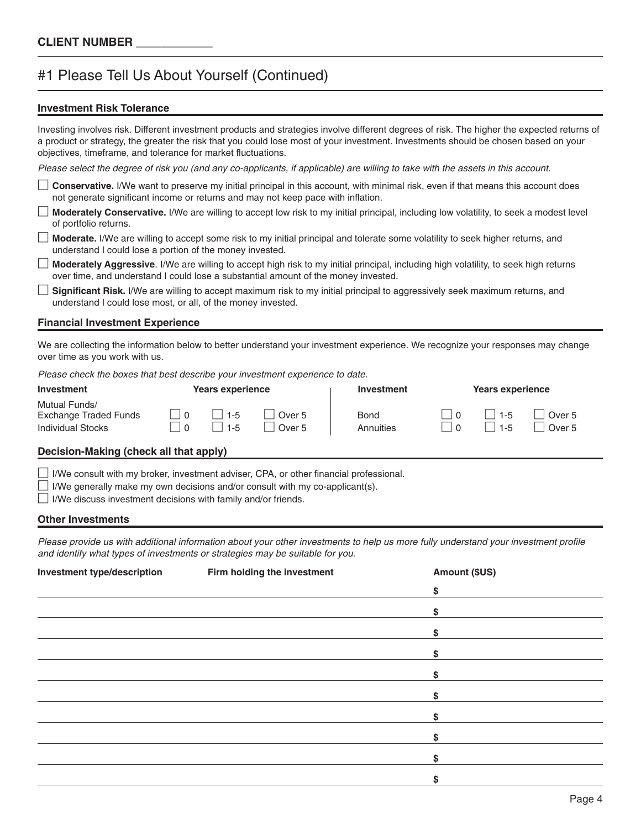### #1 Please Tell Us About Yourself (Continued)

### **Investment Risk Tolerance**

Investing involves risk. Different investment products and strategies involve different degrees of risk. The higher the expected returns of a product or strategy, the greater the risk that you could lose most of your investment. Investments should be chosen based on your objectives, timeframe, and tolerance for market fluctuations.

*Please select the degree of risk you (and any co-applicants, if applicable) are willing to take with the assets in this account.*

 **Conservative.** I/We want to preserve my initial principal in this account, with minimal risk, even if that means this account does not generate significant income or returns and may not keep pace with inflation.

 **Moderately Conservative.** I/We are willing to accept low risk to my initial principal, including low volatility, to seek a modest level of portfolio returns.

 **Moderate.** I/We are willing to accept some risk to my initial principal and tolerate some volatility to seek higher returns, and understand I could lose a portion of the money invested.

 **Moderately Aggressive**. I/We are willing to accept high risk to my initial principal, including high volatility, to seek high returns over time, and understand I could lose a substantial amount of the money invested.

 **Significant Risk.** I/We are willing to accept maximum risk to my initial principal to aggressively seek maximum returns, and understand I could lose most, or all, of the money invested.

### **Financial Investment Experience**

We are collecting the information below to better understand your investment experience. We recognize your responses may change over time as you work with us.

*Please check the boxes that best describe your investment experience to date.*

| Investment                                                         | Years experience   |                                        | <b>Investment</b>        | <b>Years experience</b> |                             |
|--------------------------------------------------------------------|--------------------|----------------------------------------|--------------------------|-------------------------|-----------------------------|
| Mutual Funds/<br>Exchange Traded Funds<br><b>Individual Stocks</b> | $1 - 5$<br>$1 - 5$ | Over <sub>5</sub><br>Over <sub>5</sub> | <b>Bond</b><br>Annuities | $1 - 5$<br>$1 - 5$      | Over 5<br>Over <sub>5</sub> |

### **Decision-Making (check all that apply)**

 $\Box$  I/We consult with my broker, investment adviser, CPA, or other financial professional.

I/We generally make my own decisions and/or consult with my co-applicant(s).

 $\Box$  I/We discuss investment decisions with family and/or friends.

#### **Other Investments**

*Please provide us with additional information about your other investments to help us more fully understand your investment profile and identify what types of investments or strategies may be suitable for you*.

| Investment type/description | Firm holding the investment | Amount (\$US) |  |
|-----------------------------|-----------------------------|---------------|--|
|                             |                             | \$            |  |
|                             |                             | \$            |  |
|                             |                             | S.            |  |
|                             |                             | \$            |  |
|                             |                             | S.            |  |
|                             |                             | \$            |  |
|                             |                             | \$            |  |
|                             |                             |               |  |
|                             |                             |               |  |
|                             |                             |               |  |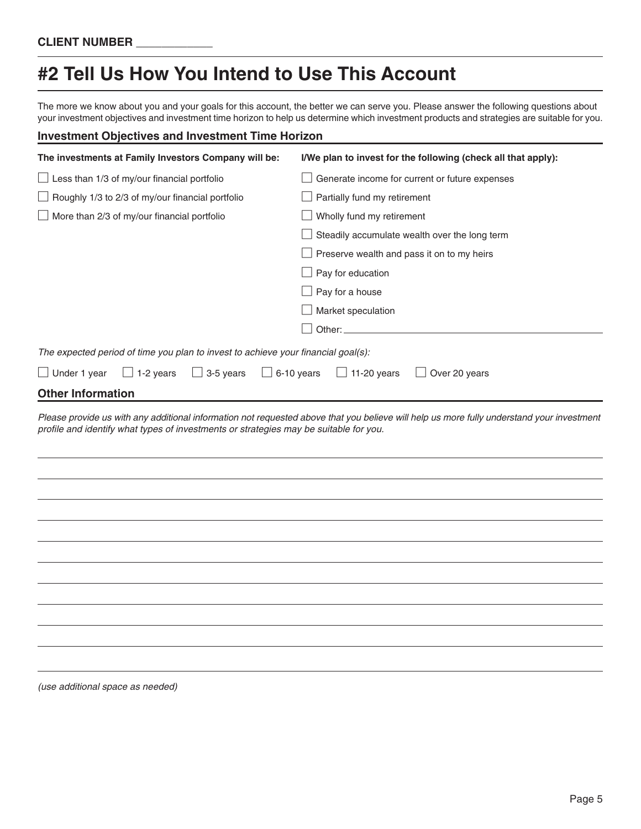## **#2 Tell Us How You Intend to Use This Account**

The more we know about you and your goals for this account, the better we can serve you. Please answer the following questions about your investment objectives and investment time horizon to help us determine which investment products and strategies are suitable for you.

### **Investment Objectives and Investment Time Horizon**

| The investments at Family Investors Company will be:                                  | I/We plan to invest for the following (check all that apply): |
|---------------------------------------------------------------------------------------|---------------------------------------------------------------|
| $\Box$ Less than 1/3 of my/our financial portfolio                                    | Generate income for current or future expenses                |
| $\Box$ Roughly 1/3 to 2/3 of my/our financial portfolio                               | Partially fund my retirement                                  |
| More than 2/3 of my/our financial portfolio                                           | Wholly fund my retirement                                     |
|                                                                                       | Steadily accumulate wealth over the long term                 |
|                                                                                       | Preserve wealth and pass it on to my heirs                    |
|                                                                                       | Pay for education                                             |
|                                                                                       | Pay for a house                                               |
|                                                                                       | Market speculation                                            |
|                                                                                       |                                                               |
| The expected period of time you plan to invest to achieve your financial goal(s):     |                                                               |
| $\Box$ Under 1 year<br>$\Box$ 1-2 years<br>$\Box$ 3-5 years<br>$\Box$ 6-10 years      | $\Box$ 11-20 years<br>$\Box$ Over 20 years                    |
| <b>Other Information</b>                                                              |                                                               |
| profile and identify what types of investments or strategies may be suitable for you. |                                                               |
|                                                                                       |                                                               |
|                                                                                       |                                                               |
|                                                                                       |                                                               |
|                                                                                       |                                                               |
|                                                                                       |                                                               |
|                                                                                       |                                                               |
|                                                                                       |                                                               |
|                                                                                       |                                                               |
|                                                                                       |                                                               |
|                                                                                       |                                                               |
|                                                                                       |                                                               |
| $\cdots$                                                                              |                                                               |

*(use additional space as needed)*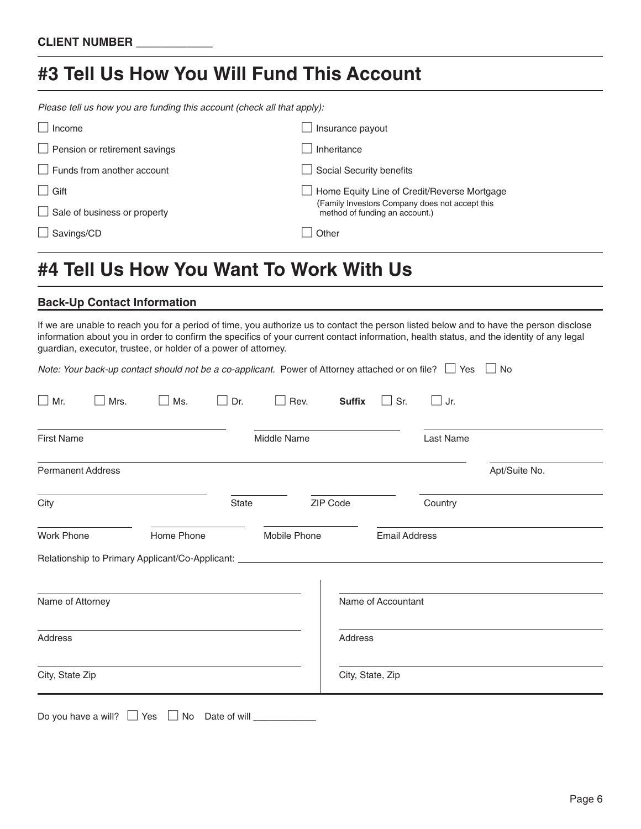## **#3 Tell Us How You Will Fund This Account**

*Please tell us how you are funding this account (check all that apply):*

| $\Box$ Income                        | Insurance payout                                                                 |
|--------------------------------------|----------------------------------------------------------------------------------|
| $\Box$ Pension or retirement savings | Inheritance                                                                      |
| $\Box$ Funds from another account    | Social Security benefits                                                         |
| $\Box$ Gift                          | Home Equity Line of Credit/Reverse Mortgage                                      |
| $\Box$ Sale of business or property  | (Family Investors Company does not accept this<br>method of funding an account.) |
| $\Box$ Savings/CD                    | Other                                                                            |
|                                      |                                                                                  |

## **#4 Tell Us How You Want To Work With Us**

### **Back-Up Contact Information**

If we are unable to reach you for a period of time, you authorize us to contact the person listed below and to have the person disclose information about you in order to confirm the specifics of your current contact information, health status, and the identity of any legal guardian, executor, trustee, or holder of a power of attorney.

| $\Box$ Mr.               | $\Box$ Mrs. | $\square$ Ms. | $\Box$ Dr. | Rev.<br>$\Box$                                                                    | <b>Suffix</b> | Sr.<br>$\vert \ \ \vert$ | $\Box$ Jr. |               |
|--------------------------|-------------|---------------|------------|-----------------------------------------------------------------------------------|---------------|--------------------------|------------|---------------|
| <b>First Name</b>        |             |               |            | Middle Name                                                                       |               |                          | Last Name  |               |
| <b>Permanent Address</b> |             |               |            |                                                                                   |               |                          |            | Apt/Suite No. |
| City                     |             |               | State      | ZIP Code                                                                          |               |                          | Country    |               |
|                          |             |               |            |                                                                                   |               |                          |            |               |
| <b>Work Phone</b>        |             | Home Phone    |            | Mobile Phone                                                                      |               | <b>Email Address</b>     |            |               |
|                          |             |               |            | Relationship to Primary Applicant/Co-Applicant: _________________________________ |               |                          |            |               |
| Name of Attorney         |             |               |            |                                                                                   |               | Name of Accountant       |            |               |
| Address                  |             |               |            |                                                                                   | Address       |                          |            |               |